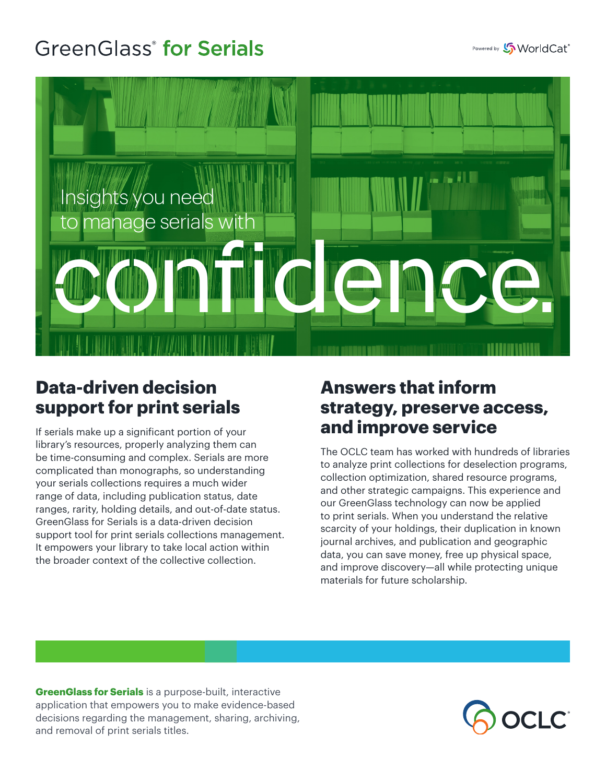## **GreenGlass<sup>®</sup>** for Serials



## **Data-driven decision support for print serials**

If serials make up a significant portion of your library's resources, properly analyzing them can be time-consuming and complex. Serials are more complicated than monographs, so understanding your serials collections requires a much wider range of data, including publication status, date ranges, rarity, holding details, and out-of-date status. GreenGlass for Serials is a data-driven decision support tool for print serials collections management. It empowers your library to take local action within the broader context of the collective collection.

## **Answers that inform strategy, preserve access, and improve service**

The OCLC team has worked with hundreds of libraries to analyze print collections for deselection programs, collection optimization, shared resource programs, and other strategic campaigns. This experience and our GreenGlass technology can now be applied to print serials. When you understand the relative scarcity of your holdings, their duplication in known journal archives, and publication and geographic data, you can save money, free up physical space, and improve discovery—all while protecting unique materials for future scholarship.

**GreenGlass for Serials** is a purpose-built, interactive application that empowers you to make evidence-based decisions regarding the management, sharing, archiving, and removal of print serials titles.